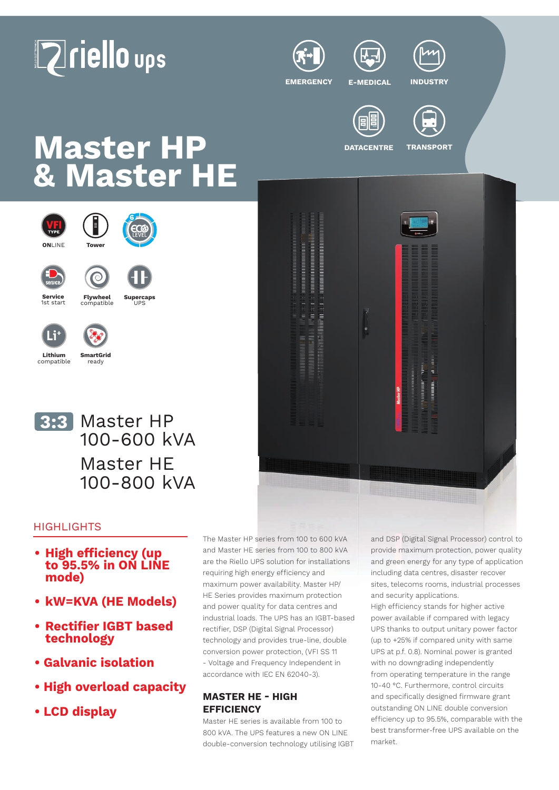







**EMERGENCY E-MEDICAL INDUSTRY**







# **Master HP** DATACENTRE TRANSPORT **& Master HE**



ready







## **HIGHLIGHTS**

- **• High efficiency (up to 95.5% in ON LINE mode)**
- **• kW=KVA (HE Models)**
- **• Rectifier IGBT based technology**
- **Galvanic isolation**
- **High overload capacity**
- **LCD display**

The Master HP series from 100 to 600 kVA and Master HE series from 100 to 800 kVA are the Riello UPS solution for installations requiring high energy efficiency and maximum power availability. Master HP/ HE Series provides maximum protection and power quality for data centres and industrial loads. The UPS has an IGBT-based rectifier, DSP (Digital Signal Processor) technology and provides true-line, double conversion power protection, (VFI SS 11 - Voltage and Frequency Independent in accordance with IEC EN 62040-3).

## **MASTER HE - HIGH EFFICIENCY**

Master HE series is available from 100 to 800 kVA. The UPS features a new ON LINE double-conversion technology utilising IGBT and DSP (Digital Signal Processor) control to provide maximum protection, power quality and green energy for any type of application including data centres, disaster recover sites, telecoms rooms, industrial processes and security applications.

High efficiency stands for higher active power available if compared with legacy UPS thanks to output unitary power factor (up to +25% if compared unity with same UPS at p.f. 0.8). Nominal power is granted with no downgrading independently from operating temperature in the range 10-40 °C. Furthermore, control circuits and specifically designed firmware grant outstanding ON LINE double conversion efficiency up to 95.5%, comparable with the best transformer-free UPS available on the market.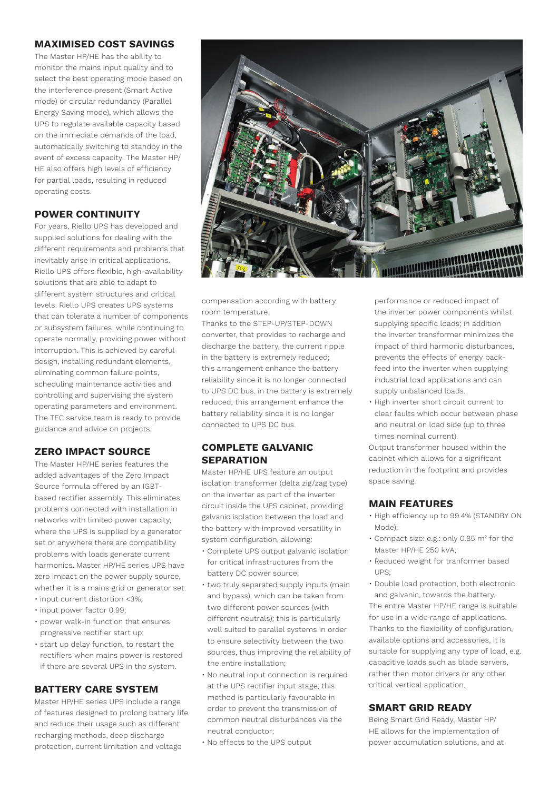#### **MAXIMISED COST SAVINGS**

The Master HP/HE has the ability to monitor the mains input quality and to select the best operating mode based on the interference present (Smart Active mode) or circular redundancy (Parallel Energy Saving mode), which allows the UPS to regulate available capacity based on the immediate demands of the load, automatically switching to standby in the event of excess capacity. The Master HP/ HE also offers high levels of efficiency for partial loads, resulting in reduced operating costs.

### **POWER CONTINUITY**

For years, Riello UPS has developed and supplied solutions for dealing with the different requirements and problems that inevitably arise in critical applications. Riello UPS offers flexible, high-availability solutions that are able to adapt to different system structures and critical levels. Riello UPS creates UPS systems that can tolerate a number of components or subsystem failures, while continuing to operate normally, providing power without interruption. This is achieved by careful design, installing redundant elements, eliminating common failure points, scheduling maintenance activities and controlling and supervising the system operating parameters and environment. The TEC service team is ready to provide guidance and advice on projects.

## **ZERO IMPACT SOURCE**

The Master HP/HE series features the added advantages of the Zero Impact Source formula offered by an IGBTbased rectifier assembly. This eliminates problems connected with installation in networks with limited power capacity, where the UPS is supplied by a generator set or anywhere there are compatibility problems with loads generate current harmonics. Master HP/HE series UPS have zero impact on the power supply source, whether it is a mains grid or generator set:

- input current distortion <3%;
- input power factor 0.99;
- power walk-in function that ensures progressive rectifier start up;
- start up delay function, to restart the rectifiers when mains power is restored if there are several UPS in the system.

#### **BATTERY CARE SYSTEM**

Master HP/HE series UPS include a range of features designed to prolong battery life and reduce their usage such as different recharging methods, deep discharge protection, current limitation and voltage



compensation according with battery room temperature.

Thanks to the STEP-UP/STEP-DOWN converter, that provides to recharge and discharge the battery, the current ripple in the battery is extremely reduced; this arrangement enhance the battery reliability since it is no longer connected to UPS DC bus. in the battery is extremely reduced; this arrangement enhance the battery reliability since it is no longer connected to UPS DC bus.

## **COMPLETE GALVANIC SEPARATION**

Master HP/HE UPS feature an output isolation transformer (delta zig/zag type) on the inverter as part of the inverter circuit inside the UPS cabinet, providing galvanic isolation between the load and the battery with improved versatility in system configuration, allowing:

- Complete UPS output galvanic isolation for critical infrastructures from the battery DC power source;
- two truly separated supply inputs (main and bypass), which can be taken from two different power sources (with different neutrals); this is particularly well suited to parallel systems in order to ensure selectivity between the two sources, thus improving the reliability of the entire installation;
- No neutral input connection is required at the UPS rectifier input stage; this method is particularly favourable in order to prevent the transmission of common neutral disturbances via the neutral conductor;
- No effects to the UPS output

performance or reduced impact of the inverter power components whilst supplying specific loads; in addition the inverter transformer minimizes the impact of third harmonic disturbances, prevents the effects of energy backfeed into the inverter when supplying industrial load applications and can supply unbalanced loads.

• High inverter short circuit current to clear faults which occur between phase and neutral on load side (up to three times nominal current).

Output transformer housed within the cabinet which allows for a significant reduction in the footprint and provides space saving.

#### **MAIN FEATURES**

- High efficiency up to 99.4% (STANDBY ON Mode);
- Compact size: e.g.: only 0.85 m<sup>2</sup> for the Master HP/HE 250 kVA;
- Reduced weight for tranformer based  $IIPS$
- Double load protection, both electronic and galvanic, towards the battery.

The entire Master HP/HE range is suitable for use in a wide range of applications. Thanks to the flexibility of configuration, available options and accessories, it is suitable for supplying any type of load, e.g. capacitive loads such as blade servers, rather then motor drivers or any other critical vertical application.

#### **SMART GRID READY**

Being Smart Grid Ready, Master HP/ HE allows for the implementation of power accumulation solutions, and at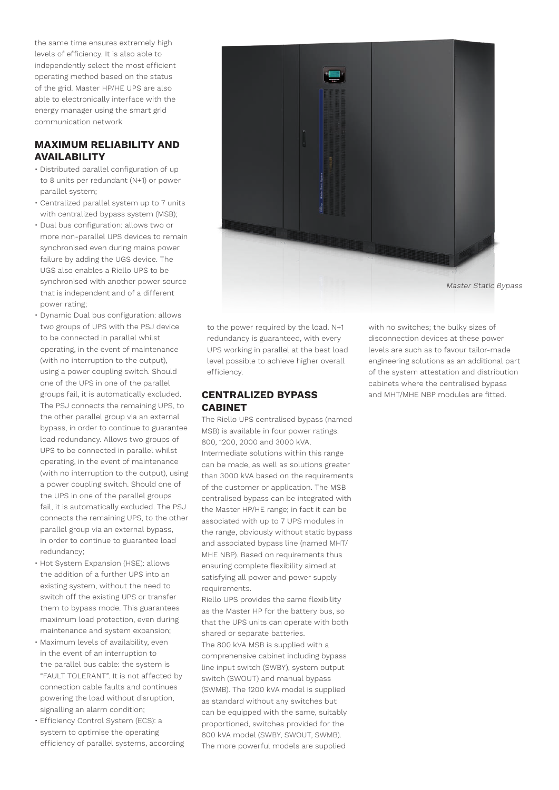the same time ensures extremely high levels of efficiency. It is also able to independently select the most efficient operating method based on the status of the grid. Master HP/HE UPS are also able to electronically interface with the energy manager using the smart grid communication network

## **MAXIMUM RELIABILITY AND AVAILABILITY**

- Distributed parallel configuration of up to 8 units per redundant (N+1) or power parallel system;
- Centralized parallel system up to 7 units with centralized bypass system (MSB);
- Dual bus configuration: allows two or more non-parallel UPS devices to remain synchronised even during mains power failure by adding the UGS device. The UGS also enables a Riello UPS to be synchronised with another power source that is independent and of a different power rating;
- Dynamic Dual bus configuration: allows two groups of UPS with the PSJ device to be connected in parallel whilst operating, in the event of maintenance (with no interruption to the output), using a power coupling switch. Should one of the UPS in one of the parallel groups fail, it is automatically excluded. The PSJ connects the remaining UPS, to the other parallel group via an external bypass, in order to continue to guarantee load redundancy. Allows two groups of UPS to be connected in parallel whilst operating, in the event of maintenance (with no interruption to the output), using a power coupling switch. Should one of the UPS in one of the parallel groups fail, it is automatically excluded. The PSJ connects the remaining UPS, to the other parallel group via an external bypass, in order to continue to guarantee load redundancy;
- Hot System Expansion (HSE): allows the addition of a further UPS into an existing system, without the need to switch off the existing UPS or transfer them to bypass mode. This guarantees maximum load protection, even during maintenance and system expansion;
- Maximum levels of availability, even in the event of an interruption to the parallel bus cable: the system is "FAULT TOLERANT". It is not affected by connection cable faults and continues powering the load without disruption, signalling an alarm condition;
- Efficiency Control System (ECS): a system to optimise the operating efficiency of parallel systems, according



to the power required by the load. N+1 redundancy is guaranteed, with every UPS working in parallel at the best load level possible to achieve higher overall efficiency.

#### **CENTRALIZED BYPASS CABINET**

The Riello UPS centralised bypass (named MSB) is available in four power ratings: 800, 1200, 2000 and 3000 kVA. Intermediate solutions within this range can be made, as well as solutions greater than 3000 kVA based on the requirements of the customer or application. The MSB centralised bypass can be integrated with the Master HP/HE range; in fact it can be associated with up to 7 UPS modules in the range, obviously without static bypass and associated bypass line (named MHT/ MHE NBP). Based on requirements thus ensuring complete flexibility aimed at satisfying all power and power supply requirements.

Riello UPS provides the same flexibility as the Master HP for the battery bus, so that the UPS units can operate with both shared or separate batteries.

The 800 kVA MSB is supplied with a comprehensive cabinet including bypass line input switch (SWBY), system output switch (SWOUT) and manual bypass (SWMB). The 1200 kVA model is supplied as standard without any switches but can be equipped with the same, suitably proportioned, switches provided for the 800 kVA model (SWBY, SWOUT, SWMB). The more powerful models are supplied

with no switches; the bulky sizes of disconnection devices at these power levels are such as to favour tailor-made engineering solutions as an additional part of the system attestation and distribution cabinets where the centralised bypass and MHT/MHE NBP modules are fitted.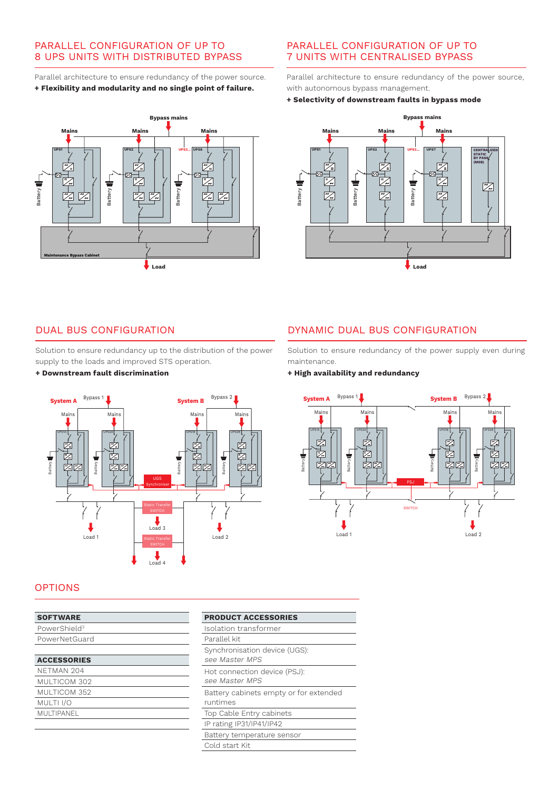### PARALLEL CONFIGURATION OF UP TO 8 UPS UNITS WITH DISTRIBUTED BYPASS

Parallel architecture to ensure redundancy of the power source. **+ Flexibility and modularity and no single point of failure.**



## PARALLEL CONFIGURATION OF UP TO 7 UNITS WITH CENTRALISED BYPASS

Parallel architecture to ensure redundancy of the power source, with autonomous bypass management.

#### **+ Selectivity of downstream faults in bypass mode**



## DUAL BUS CONFIGURATION

Solution to ensure redundancy up to the distribution of the power supply to the loads and improved STS operation.

#### **+ Downstream fault discrimination**

## DYNAMIC DUAL BUS CONFIGURATION

Solution to ensure redundancy of the power supply even during maintenance.

#### **+ High availability and redundancy**





#### **OPTIONS**

| <b>SOFTWARE</b>          | <b>PRODUCT</b> |
|--------------------------|----------------|
| PowerShield <sup>3</sup> | Isolation t    |
| PowerNetGuard            | Parallel kit   |
|                          | Synchronis     |
| <b>ACCESSORIES</b>       | see Maste      |
| NFTMAN 204               | Hot conne      |
| MULTICOM 302             | see Maste      |
| MULTICOM 352             | Battery cal    |
| MULTI I/O                | runtimes       |
| MULTIPANEL               | Top Cable      |
|                          | IP rating IP   |

| Isolation transformer                              |
|----------------------------------------------------|
| Parallel kit                                       |
| Synchronisation device (UGS):<br>see Master MPS    |
| Hot connection device (PSJ):<br>see Master MPS     |
| Battery cabinets empty or for extended<br>runtimes |
| Top Cable Entry cabinets                           |
| IP rating IP31/IP41/IP42                           |
| Battery temperature sensor                         |
| Cold start Kit                                     |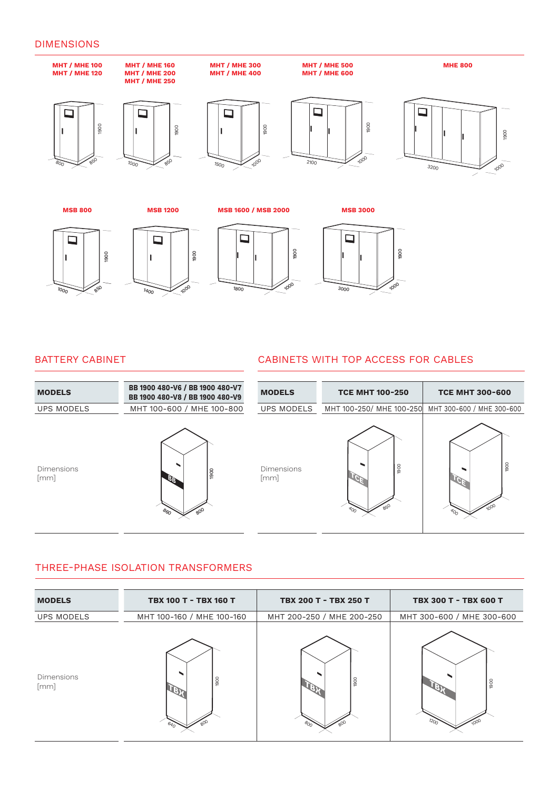#### DIMENSIONS



#### BATTERY CABINET

## CABINETS WITH TOP ACCESS FOR CABLES

| <b>MODELS</b>             | BB 1900 480-V6 / BB 1900 480-V7<br>BB 1900 480-V8 / BB 1900 480-V9 | <b>MODELS</b>             | <b>TCE MHT 100-250</b>                             | <b>TCE MHT 300-600</b>      |
|---------------------------|--------------------------------------------------------------------|---------------------------|----------------------------------------------------|-----------------------------|
| UPS MODELS                | MHT 100-600 / MHE 100-800                                          | <b>UPS MODELS</b>         | MHT 100-250/ MHE 100-250 MHT 300-600 / MHE 300-600 |                             |
| <b>Dimensions</b><br>[mm] | $\frac{1}{2}$<br>$\partial_{6_O}$                                  | <b>Dimensions</b><br>[mm] | 1900<br>$\mathcal{A}_{O_{\Gamma}}$                 | 1900<br>$\mathcal{A}_{O_O}$ |

## THREE-PHASE ISOLATION TRANSFORMERS

| <b>MODELS</b>             | TBX 100 T - TBX 160 T     | TBX 200 T - TBX 250 T         | TBX 300 T - TBX 600 T     |  |  |
|---------------------------|---------------------------|-------------------------------|---------------------------|--|--|
| <b>UPS MODELS</b>         | MHT 100-160 / MHE 100-160 | MHT 200-250 / MHE 200-250     | MHT 300-600 / MHE 300-600 |  |  |
| <b>Dimensions</b><br>[mm] | 1900                      | 1900<br>$\sigma_{O_{\Omega}}$ | 1900                      |  |  |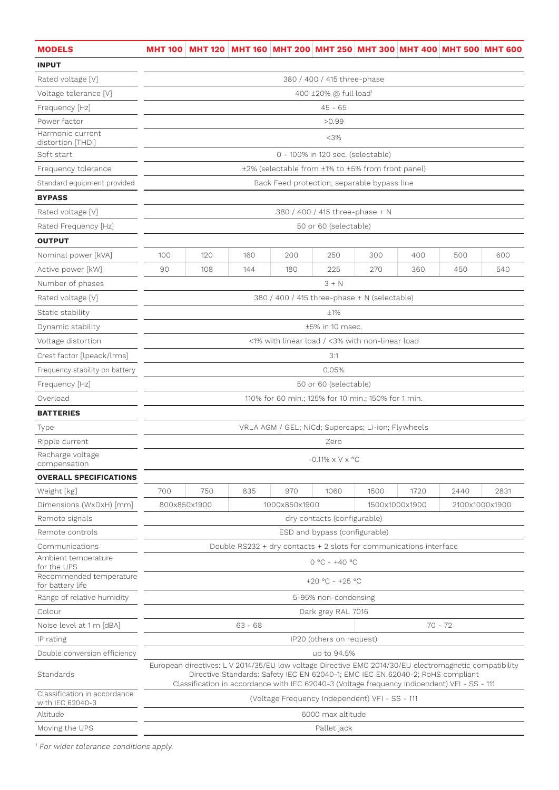| <b>MODELS</b>                                              |                                                                                                                                                                                                                                                                                          |                                                     |     |                                                    |                                 |      |                | MHT 100   MHT 120   MHT 160   MHT 200   MHT 250   MHT 300   MHT 400   MHT 500   MHT 600 |                |  |  |  |
|------------------------------------------------------------|------------------------------------------------------------------------------------------------------------------------------------------------------------------------------------------------------------------------------------------------------------------------------------------|-----------------------------------------------------|-----|----------------------------------------------------|---------------------------------|------|----------------|-----------------------------------------------------------------------------------------|----------------|--|--|--|
| <b>INPUT</b>                                               |                                                                                                                                                                                                                                                                                          |                                                     |     |                                                    |                                 |      |                |                                                                                         |                |  |  |  |
| Rated voltage [V]                                          | 380 / 400 / 415 three-phase                                                                                                                                                                                                                                                              |                                                     |     |                                                    |                                 |      |                |                                                                                         |                |  |  |  |
| Voltage tolerance [V]                                      | 400 ±20% @ full load <sup>1</sup>                                                                                                                                                                                                                                                        |                                                     |     |                                                    |                                 |      |                |                                                                                         |                |  |  |  |
| Frequency [Hz]                                             | $45 - 65$                                                                                                                                                                                                                                                                                |                                                     |     |                                                    |                                 |      |                |                                                                                         |                |  |  |  |
| Power factor                                               |                                                                                                                                                                                                                                                                                          | >0.99                                               |     |                                                    |                                 |      |                |                                                                                         |                |  |  |  |
| Harmonic current<br>distortion [THDi]                      | $<$ 3%                                                                                                                                                                                                                                                                                   |                                                     |     |                                                    |                                 |      |                |                                                                                         |                |  |  |  |
| Soft start                                                 | 0 - 100% in 120 sec. (selectable)                                                                                                                                                                                                                                                        |                                                     |     |                                                    |                                 |      |                |                                                                                         |                |  |  |  |
| Frequency tolerance                                        |                                                                                                                                                                                                                                                                                          | ±2% (selectable from ±1% to ±5% from front panel)   |     |                                                    |                                 |      |                |                                                                                         |                |  |  |  |
| Standard equipment provided                                |                                                                                                                                                                                                                                                                                          | Back Feed protection; separable bypass line         |     |                                                    |                                 |      |                |                                                                                         |                |  |  |  |
| <b>BYPASS</b>                                              |                                                                                                                                                                                                                                                                                          |                                                     |     |                                                    |                                 |      |                |                                                                                         |                |  |  |  |
| Rated voltage [V]                                          |                                                                                                                                                                                                                                                                                          |                                                     |     |                                                    | 380 / 400 / 415 three-phase + N |      |                |                                                                                         |                |  |  |  |
| Rated Frequency [Hz]                                       |                                                                                                                                                                                                                                                                                          |                                                     |     |                                                    | 50 or 60 (selectable)           |      |                |                                                                                         |                |  |  |  |
| <b>OUTPUT</b>                                              |                                                                                                                                                                                                                                                                                          |                                                     |     |                                                    |                                 |      |                |                                                                                         |                |  |  |  |
| Nominal power [kVA]                                        | 100                                                                                                                                                                                                                                                                                      | 120                                                 | 160 | 200                                                | 250                             | 300  | 400            | 500                                                                                     | 600            |  |  |  |
| Active power [kW]                                          | 90                                                                                                                                                                                                                                                                                       | 108                                                 | 144 | 180                                                | 225                             | 270  | 360            | 450                                                                                     | 540            |  |  |  |
| Number of phases                                           |                                                                                                                                                                                                                                                                                          |                                                     |     |                                                    | $3 + N$                         |      |                |                                                                                         |                |  |  |  |
| Rated voltage [V]                                          |                                                                                                                                                                                                                                                                                          |                                                     |     | 380 / 400 / 415 three-phase + N (selectable)       |                                 |      |                |                                                                                         |                |  |  |  |
| Static stability                                           |                                                                                                                                                                                                                                                                                          |                                                     |     |                                                    | ±1%                             |      |                |                                                                                         |                |  |  |  |
| Dynamic stability                                          |                                                                                                                                                                                                                                                                                          |                                                     |     |                                                    | ±5% in 10 msec.                 |      |                |                                                                                         |                |  |  |  |
| Voltage distortion                                         |                                                                                                                                                                                                                                                                                          |                                                     |     | <1% with linear load / <3% with non-linear load    |                                 |      |                |                                                                                         |                |  |  |  |
| Crest factor [lpeack/lrms]                                 |                                                                                                                                                                                                                                                                                          |                                                     |     |                                                    | 3:1                             |      |                |                                                                                         |                |  |  |  |
| Frequency stability on battery                             |                                                                                                                                                                                                                                                                                          |                                                     |     |                                                    | 0.05%                           |      |                |                                                                                         |                |  |  |  |
| Frequency [Hz]                                             |                                                                                                                                                                                                                                                                                          |                                                     |     |                                                    | 50 or 60 (selectable)           |      |                |                                                                                         |                |  |  |  |
| Overload                                                   |                                                                                                                                                                                                                                                                                          |                                                     |     |                                                    |                                 |      |                |                                                                                         |                |  |  |  |
| <b>BATTERIES</b>                                           |                                                                                                                                                                                                                                                                                          | 110% for 60 min.; 125% for 10 min.; 150% for 1 min. |     |                                                    |                                 |      |                |                                                                                         |                |  |  |  |
| Type                                                       |                                                                                                                                                                                                                                                                                          |                                                     |     | VRLA AGM / GEL; NiCd; Supercaps; Li-ion; Flywheels |                                 |      |                |                                                                                         |                |  |  |  |
| Ripple current                                             |                                                                                                                                                                                                                                                                                          |                                                     |     |                                                    | Zero                            |      |                |                                                                                         |                |  |  |  |
| Recharge voltage<br>compensation                           |                                                                                                                                                                                                                                                                                          |                                                     |     |                                                    | $-0.11\% \times V \times$ °C    |      |                |                                                                                         |                |  |  |  |
| <b>OVERALL SPECIFICATIONS</b>                              |                                                                                                                                                                                                                                                                                          |                                                     |     |                                                    |                                 |      |                |                                                                                         |                |  |  |  |
| Weight [kg]                                                | 700                                                                                                                                                                                                                                                                                      | 750                                                 | 835 | 970                                                | 1060                            | 1500 | 1720           | 2440                                                                                    | 2831           |  |  |  |
| Dimensions (WxDxH) [mm]                                    |                                                                                                                                                                                                                                                                                          | 800x850x1900                                        |     | 1000x850x1900                                      |                                 |      | 1500x1000x1900 |                                                                                         | 2100x1000x1900 |  |  |  |
| Remote signals                                             |                                                                                                                                                                                                                                                                                          |                                                     |     |                                                    | dry contacts (configurable)     |      |                |                                                                                         |                |  |  |  |
| Remote controls                                            |                                                                                                                                                                                                                                                                                          |                                                     |     |                                                    | ESD and bypass (configurable)   |      |                |                                                                                         |                |  |  |  |
| Communications                                             | Double RS232 + dry contacts + 2 slots for communications interface                                                                                                                                                                                                                       |                                                     |     |                                                    |                                 |      |                |                                                                                         |                |  |  |  |
| Ambient temperature                                        |                                                                                                                                                                                                                                                                                          | $0 °C - +40 °C$                                     |     |                                                    |                                 |      |                |                                                                                         |                |  |  |  |
| for the UPS<br>Recommended temperature<br>for battery life |                                                                                                                                                                                                                                                                                          |                                                     |     |                                                    | +20 °C - +25 °C                 |      |                |                                                                                         |                |  |  |  |
| Range of relative humidity                                 | 5-95% non-condensing                                                                                                                                                                                                                                                                     |                                                     |     |                                                    |                                 |      |                |                                                                                         |                |  |  |  |
| Colour                                                     | Dark grey RAL 7016                                                                                                                                                                                                                                                                       |                                                     |     |                                                    |                                 |      |                |                                                                                         |                |  |  |  |
| Noise level at 1 m [dBA]                                   | $63 - 68$<br>$70 - 72$                                                                                                                                                                                                                                                                   |                                                     |     |                                                    |                                 |      |                |                                                                                         |                |  |  |  |
| IP rating                                                  |                                                                                                                                                                                                                                                                                          |                                                     |     |                                                    | IP20 (others on request)        |      |                |                                                                                         |                |  |  |  |
| Double conversion efficiency                               |                                                                                                                                                                                                                                                                                          |                                                     |     |                                                    | up to 94.5%                     |      |                |                                                                                         |                |  |  |  |
| Standards                                                  | European directives: L V 2014/35/EU low voltage Directive EMC 2014/30/EU electromagnetic compatibility<br>Directive Standards: Safety IEC EN 62040-1; EMC IEC EN 62040-2; RoHS compliant<br>Classification in accordance with IEC 62040-3 (Voltage frequency Indioendent) VFI - SS - 111 |                                                     |     |                                                    |                                 |      |                |                                                                                         |                |  |  |  |
| Classification in accordance<br>with IEC 62040-3           |                                                                                                                                                                                                                                                                                          |                                                     |     | (Voltage Frequency Independent) VFI - SS - 111     |                                 |      |                |                                                                                         |                |  |  |  |
| Altitude                                                   |                                                                                                                                                                                                                                                                                          |                                                     |     |                                                    | 6000 max altitude               |      |                |                                                                                         |                |  |  |  |
| Moving the UPS                                             | Pallet jack                                                                                                                                                                                                                                                                              |                                                     |     |                                                    |                                 |      |                |                                                                                         |                |  |  |  |

1 For wider tolerance conditions apply.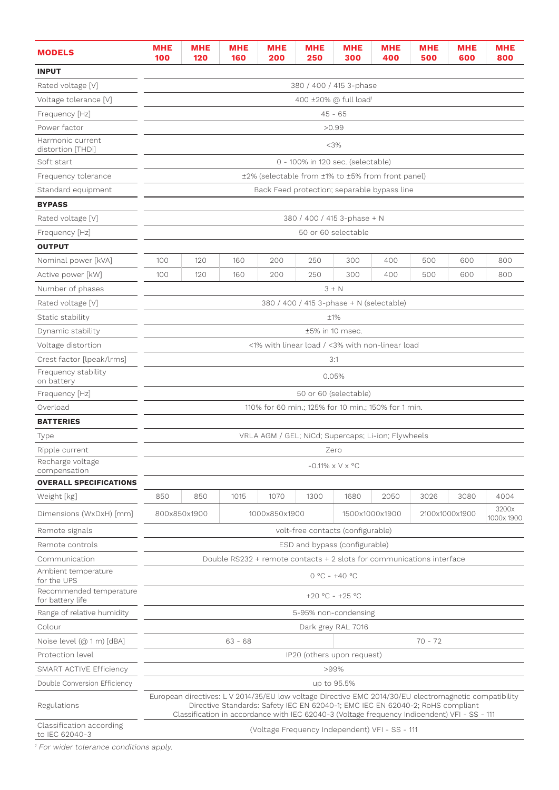| <b>MODELS</b>                               | <b>MHE</b><br>100                                                                        | MHE<br>120                                                                                                                                     | <b>MHE</b><br>160                                                                                                                                                                        | <b>MHE</b><br>200 | MHE<br>250 | <b>MHE</b><br>300                                  | <b>MHE</b><br>400 | <b>MHE</b><br>500 | <b>MHE</b><br>600 | <b>MHE</b><br>800 |
|---------------------------------------------|------------------------------------------------------------------------------------------|------------------------------------------------------------------------------------------------------------------------------------------------|------------------------------------------------------------------------------------------------------------------------------------------------------------------------------------------|-------------------|------------|----------------------------------------------------|-------------------|-------------------|-------------------|-------------------|
| <b>INPUT</b>                                |                                                                                          |                                                                                                                                                |                                                                                                                                                                                          |                   |            |                                                    |                   |                   |                   |                   |
| Rated voltage [V]                           | 380 / 400 / 415 3-phase                                                                  |                                                                                                                                                |                                                                                                                                                                                          |                   |            |                                                    |                   |                   |                   |                   |
| Voltage tolerance [V]                       | 400 ±20% @ full load <sup>1</sup>                                                        |                                                                                                                                                |                                                                                                                                                                                          |                   |            |                                                    |                   |                   |                   |                   |
| Frequency [Hz]                              |                                                                                          | $45 - 65$                                                                                                                                      |                                                                                                                                                                                          |                   |            |                                                    |                   |                   |                   |                   |
| Power factor                                |                                                                                          | >0.99                                                                                                                                          |                                                                                                                                                                                          |                   |            |                                                    |                   |                   |                   |                   |
| Harmonic current<br>distortion [THDi]       |                                                                                          | $<$ 3%                                                                                                                                         |                                                                                                                                                                                          |                   |            |                                                    |                   |                   |                   |                   |
| Soft start                                  |                                                                                          |                                                                                                                                                |                                                                                                                                                                                          |                   |            | 0 - 100% in 120 sec. (selectable)                  |                   |                   |                   |                   |
| Frequency tolerance                         |                                                                                          |                                                                                                                                                |                                                                                                                                                                                          |                   |            | ±2% (selectable from ±1% to ±5% from front panel)  |                   |                   |                   |                   |
| Standard equipment                          |                                                                                          |                                                                                                                                                |                                                                                                                                                                                          |                   |            | Back Feed protection; separable bypass line        |                   |                   |                   |                   |
| <b>BYPASS</b>                               |                                                                                          |                                                                                                                                                |                                                                                                                                                                                          |                   |            |                                                    |                   |                   |                   |                   |
| Rated voltage [V]                           |                                                                                          |                                                                                                                                                |                                                                                                                                                                                          |                   |            | 380 / 400 / 415 3-phase + N                        |                   |                   |                   |                   |
| Frequency [Hz]                              |                                                                                          |                                                                                                                                                |                                                                                                                                                                                          |                   |            | 50 or 60 selectable                                |                   |                   |                   |                   |
| <b>OUTPUT</b>                               |                                                                                          |                                                                                                                                                |                                                                                                                                                                                          |                   |            |                                                    |                   |                   |                   |                   |
| Nominal power [kVA]                         | 100                                                                                      | 120                                                                                                                                            | 160                                                                                                                                                                                      | 200               | 250        | 300                                                | 400               | 500               | 600               | 800               |
| Active power [kW]                           | 100                                                                                      | 120                                                                                                                                            | 160                                                                                                                                                                                      | 200               | 250        | 300                                                | 400               | 500               | 600               | 800               |
| Number of phases                            |                                                                                          |                                                                                                                                                |                                                                                                                                                                                          |                   |            | $3 + N$                                            |                   |                   |                   |                   |
| Rated voltage [V]                           |                                                                                          |                                                                                                                                                |                                                                                                                                                                                          |                   |            | 380 / 400 / 415 3-phase + N (selectable)           |                   |                   |                   |                   |
| Static stability                            |                                                                                          |                                                                                                                                                |                                                                                                                                                                                          |                   |            | $+1%$                                              |                   |                   |                   |                   |
| Dynamic stability                           |                                                                                          |                                                                                                                                                |                                                                                                                                                                                          |                   |            | ±5% in 10 msec.                                    |                   |                   |                   |                   |
| Voltage distortion                          |                                                                                          |                                                                                                                                                |                                                                                                                                                                                          |                   |            | <1% with linear load / <3% with non-linear load    |                   |                   |                   |                   |
| Crest factor [lpeak/lrms]                   |                                                                                          |                                                                                                                                                |                                                                                                                                                                                          |                   |            | 3:1                                                |                   |                   |                   |                   |
| Frequency stability<br>on battery           |                                                                                          | 0.05%                                                                                                                                          |                                                                                                                                                                                          |                   |            |                                                    |                   |                   |                   |                   |
| Frequency [Hz]                              |                                                                                          | 50 or 60 (selectable)                                                                                                                          |                                                                                                                                                                                          |                   |            |                                                    |                   |                   |                   |                   |
| Overload                                    |                                                                                          | 110% for 60 min.; 125% for 10 min.; 150% for 1 min.                                                                                            |                                                                                                                                                                                          |                   |            |                                                    |                   |                   |                   |                   |
| <b>BATTERIES</b>                            |                                                                                          |                                                                                                                                                |                                                                                                                                                                                          |                   |            |                                                    |                   |                   |                   |                   |
| Type                                        |                                                                                          |                                                                                                                                                |                                                                                                                                                                                          |                   |            | VRLA AGM / GEL; NiCd; Supercaps; Li-ion; Flywheels |                   |                   |                   |                   |
| Ripple current                              |                                                                                          |                                                                                                                                                |                                                                                                                                                                                          |                   |            | Zero                                               |                   |                   |                   |                   |
| Recharge voltage<br>compensation            |                                                                                          |                                                                                                                                                |                                                                                                                                                                                          |                   |            | $-0.11\% \times V \times$ °C                       |                   |                   |                   |                   |
| <b>OVERALL SPECIFICATIONS</b>               |                                                                                          |                                                                                                                                                |                                                                                                                                                                                          |                   |            |                                                    |                   |                   |                   |                   |
| Weight [kg]                                 | 850                                                                                      | 850                                                                                                                                            | 1015                                                                                                                                                                                     | 1070              | 1300       | 1680                                               | 2050              | 3026              | 3080              | 4004              |
| Dimensions (WxDxH) [mm]                     | 3200x<br>800x850x1900<br>1500x1000x1900<br>2100x1000x1900<br>1000x850x1900<br>1000x 1900 |                                                                                                                                                |                                                                                                                                                                                          |                   |            |                                                    |                   |                   |                   |                   |
| Remote signals                              |                                                                                          |                                                                                                                                                |                                                                                                                                                                                          |                   |            | volt-free contacts (configurable)                  |                   |                   |                   |                   |
| Remote controls                             |                                                                                          |                                                                                                                                                |                                                                                                                                                                                          |                   |            | ESD and bypass (configurable)                      |                   |                   |                   |                   |
| Communication                               |                                                                                          |                                                                                                                                                | Double RS232 + remote contacts + 2 slots for communications interface                                                                                                                    |                   |            |                                                    |                   |                   |                   |                   |
| Ambient temperature<br>for the UPS          |                                                                                          |                                                                                                                                                |                                                                                                                                                                                          |                   |            | $0 °C - +40 °C$                                    |                   |                   |                   |                   |
| Recommended temperature<br>for battery life |                                                                                          |                                                                                                                                                |                                                                                                                                                                                          |                   |            | +20 °C - +25 °C                                    |                   |                   |                   |                   |
| Range of relative humidity                  |                                                                                          |                                                                                                                                                |                                                                                                                                                                                          |                   |            | 5-95% non-condensing                               |                   |                   |                   |                   |
| Colour                                      |                                                                                          |                                                                                                                                                |                                                                                                                                                                                          |                   |            | Dark grey RAL 7016                                 |                   |                   |                   |                   |
| Noise level (@ 1 m) [dBA]                   |                                                                                          |                                                                                                                                                | $63 - 68$                                                                                                                                                                                |                   |            |                                                    |                   | $70 - 72$         |                   |                   |
| Protection level                            |                                                                                          |                                                                                                                                                |                                                                                                                                                                                          |                   |            | IP20 (others upon request)                         |                   |                   |                   |                   |
| SMART ACTIVE Efficiency                     |                                                                                          |                                                                                                                                                |                                                                                                                                                                                          |                   |            | >99%                                               |                   |                   |                   |                   |
| Double Conversion Efficiency                |                                                                                          |                                                                                                                                                |                                                                                                                                                                                          |                   |            | up to 95.5%                                        |                   |                   |                   |                   |
| Regulations                                 |                                                                                          |                                                                                                                                                | European directives: L V 2014/35/EU low voltage Directive EMC 2014/30/EU electromagnetic compatibility<br>Directive Standards: Safety IEC EN 62040-1; EMC IEC EN 62040-2; RoHS compliant |                   |            |                                                    |                   |                   |                   |                   |
| Classification according<br>to IEC 62040-3  |                                                                                          | Classification in accordance with IEC 62040-3 (Voltage frequency Indioendent) VFI - SS - 111<br>(Voltage Frequency Independent) VFI - SS - 111 |                                                                                                                                                                                          |                   |            |                                                    |                   |                   |                   |                   |

1 For wider tolerance conditions apply.